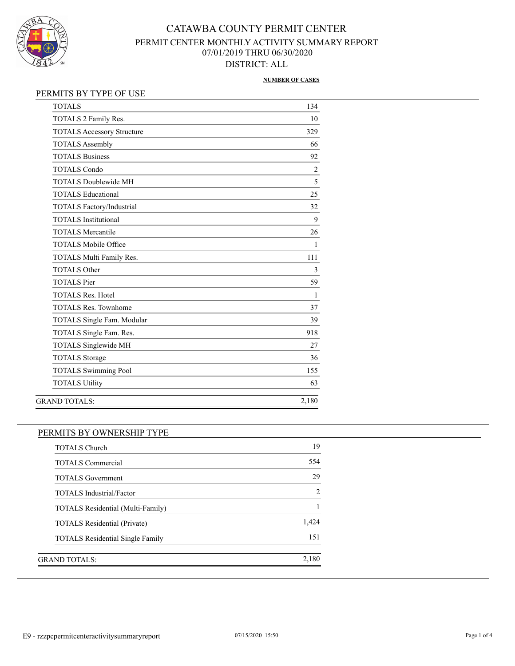

#### **NUMBER OF CASES**

### PERMITS BY TYPE OF USE

| <b>TOTALS</b>                     | 134            |
|-----------------------------------|----------------|
| TOTALS 2 Family Res.              | 10             |
| <b>TOTALS Accessory Structure</b> | 329            |
| <b>TOTALS Assembly</b>            | 66             |
| <b>TOTALS Business</b>            | 92             |
| <b>TOTALS Condo</b>               | $\overline{c}$ |
| <b>TOTALS Doublewide MH</b>       | 5              |
| <b>TOTALS Educational</b>         | 25             |
| <b>TOTALS Factory/Industrial</b>  | 32             |
| <b>TOTALS</b> Institutional       | 9              |
| <b>TOTALS Mercantile</b>          | 26             |
| <b>TOTALS Mobile Office</b>       | 1              |
| TOTALS Multi Family Res.          | 111            |
| <b>TOTALS Other</b>               | 3              |
| <b>TOTALS</b> Pier                | 59             |
| <b>TOTALS Res. Hotel</b>          | 1              |
| <b>TOTALS Res. Townhome</b>       | 37             |
| TOTALS Single Fam. Modular        | 39             |
| TOTALS Single Fam. Res.           | 918            |
| TOTALS Singlewide MH              | 27             |
| <b>TOTALS</b> Storage             | 36             |
| <b>TOTALS Swimming Pool</b>       | 155            |
| <b>TOTALS Utility</b>             | 63             |
| <b>GRAND TOTALS:</b>              | 2,180          |
|                                   |                |

### PERMITS BY OWNERSHIP TYPE

| <b>TOTALS Church</b>                    | 19             |
|-----------------------------------------|----------------|
| <b>TOTALS</b> Commercial                | 554            |
| <b>TOTALS</b> Government                | 29             |
| <b>TOTALS</b> Industrial/Factor         | $\mathfrak{D}$ |
| TOTALS Residential (Multi-Family)       |                |
| <b>TOTALS Residential (Private)</b>     | 1.424          |
| <b>TOTALS</b> Residential Single Family | 151            |
|                                         |                |
| GRAND TOTALS:                           | 2.180          |
|                                         |                |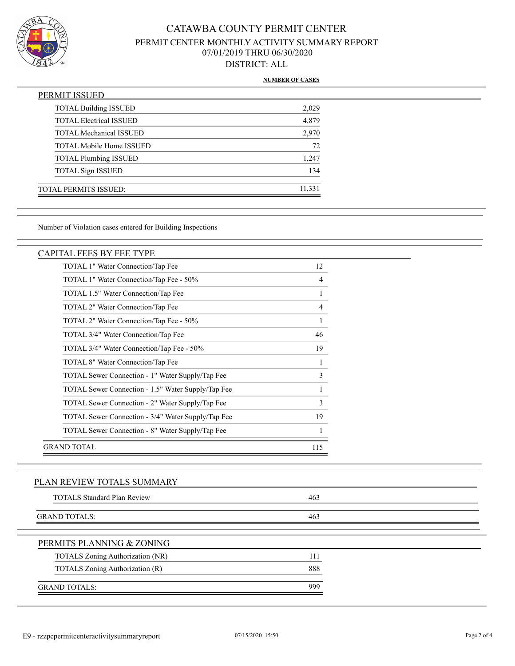

#### **NUMBER OF CASES**

| PERMIT ISSUED                   |        |
|---------------------------------|--------|
| <b>TOTAL Building ISSUED</b>    | 2,029  |
| <b>TOTAL Electrical ISSUED</b>  | 4,879  |
| <b>TOTAL Mechanical ISSUED</b>  | 2,970  |
| <b>TOTAL Mobile Home ISSUED</b> | 72     |
| <b>TOTAL Plumbing ISSUED</b>    | 1,247  |
| <b>TOTAL Sign ISSUED</b>        | 134    |
| <b>TOTAL PERMITS ISSUED:</b>    | 11,331 |

Number of Violation cases entered for Building Inspections

#### CAPITAL FEES BY FEE TYPE

| TOTAL 1" Water Connection/Tap Fee                  | 12  |
|----------------------------------------------------|-----|
| TOTAL 1" Water Connection/Tap Fee - 50%            | 4   |
| TOTAL 1.5" Water Connection/Tap Fee                |     |
| TOTAL 2" Water Connection/Tap Fee                  | 4   |
| TOTAL 2" Water Connection/Tap Fee - 50%            | 1   |
| TOTAL 3/4" Water Connection/Tap Fee                | 46  |
| TOTAL 3/4" Water Connection/Tap Fee - 50%          | 19  |
| TOTAL 8" Water Connection/Tap Fee                  |     |
| TOTAL Sewer Connection - 1" Water Supply/Tap Fee   | 3   |
| TOTAL Sewer Connection - 1.5" Water Supply/Tap Fee | 1   |
| TOTAL Sewer Connection - 2" Water Supply/Tap Fee   | 3   |
| TOTAL Sewer Connection - 3/4" Water Supply/Tap Fee | 19  |
| TOTAL Sewer Connection - 8" Water Supply/Tap Fee   |     |
| GRAND TOTAL                                        | 115 |

### PLAN REVIEW TOTALS SUMMARY

| <b>TOTALS Standard Plan Review</b> | 463 |  |
|------------------------------------|-----|--|
| <b>GRAND TOTALS:</b>               | 463 |  |
| PERMITS PLANNING & ZONING          |     |  |
| TOTALS Zoning Authorization (NR)   | 111 |  |
| TOTALS Zoning Authorization (R)    | 888 |  |
| <b>GRAND TOTALS:</b>               | 999 |  |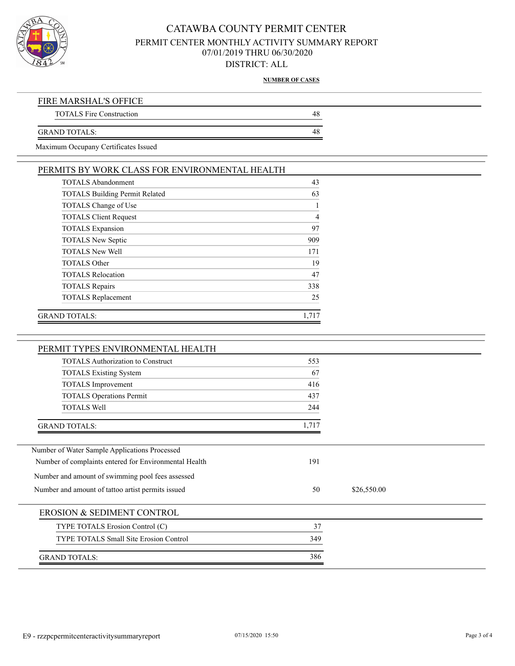

**NUMBER OF CASES**

| FIRE MARSHAL'S OFFICE           |  |
|---------------------------------|--|
| <b>TOTALS Fire Construction</b> |  |
|                                 |  |
| GRAND TOTALS:                   |  |

Maximum Occupany Certificates Issued

| <b>TOTALS Abandonment</b>             | 43  |
|---------------------------------------|-----|
| <b>TOTALS Building Permit Related</b> | 63  |
| TOTALS Change of Use                  |     |
| <b>TOTALS Client Request</b>          | 4   |
| <b>TOTALS</b> Expansion               | 97  |
| <b>TOTALS New Septic</b>              | 909 |
| <b>TOTALS New Well</b>                | 171 |
| <b>TOTALS Other</b>                   | 19  |
| <b>TOTALS Relocation</b>              | 47  |
| <b>TOTALS Repairs</b>                 | 338 |
| <b>TOTALS Replacement</b>             | 25  |

| PERMIT TYPES ENVIRONMENTAL HEALTH                     |       |             |  |
|-------------------------------------------------------|-------|-------------|--|
| <b>TOTALS</b> Authorization to Construct              | 553   |             |  |
| <b>TOTALS Existing System</b>                         | 67    |             |  |
| <b>TOTALS</b> Improvement                             | 416   |             |  |
| <b>TOTALS Operations Permit</b>                       | 437   |             |  |
| <b>TOTALS Well</b>                                    | 244   |             |  |
| <b>GRAND TOTALS:</b>                                  | 1,717 |             |  |
| Number of Water Sample Applications Processed         |       |             |  |
| Number of complaints entered for Environmental Health | 191   |             |  |
| Number and amount of swimming pool fees assessed      |       |             |  |
| Number and amount of tattoo artist permits issued     | 50    | \$26,550.00 |  |
| EROSION & SEDIMENT CONTROL                            |       |             |  |
| TYPE TOTALS Erosion Control (C)                       | 37    |             |  |
| <b>TYPE TOTALS Small Site Erosion Control</b>         | 349   |             |  |
| <b>GRAND TOTALS:</b>                                  | 386   |             |  |